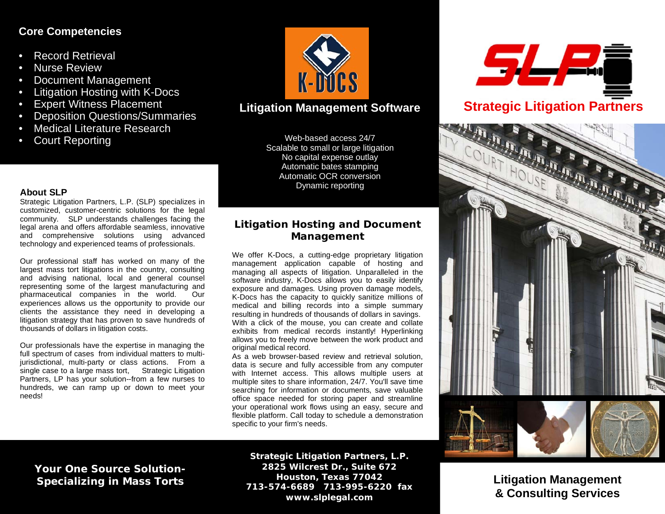### **Core Competencies**

- Record Retrieval
- **Nurse Review**
- Document Management
- Litigation Hosting with K-Docs
- **Expert Witness Placement**
- **Deposition Questions/Summaries**
- Medical Literature Research
- **Court Reporting**



## **Litigation Management Software**

Web-based access 24/7 Scalable to small or large litigation No capital expense outlay Automatic bates stamping Automatic OCR conversion Dynamic reporting

### **About SLP**

Strategic Litigation Partners, L.P. (SLP) specializes in customized, customer-centric solutions for the legal community. SLP understands challenges facing the legal arena and offers affordable seamless, innovative and comprehensive solutions using advanced technology and experienced teams of professionals.

Our professional staff has worked on many of the largest mass tort litigations in the country, consulting and advising national, local and general counsel representing some of the largest manufacturing and pharmaceutical companies in the world. Our experiences allows us the opportunity to provide our clients the assistance they need in developing a litigation strategy that has proven to save hundreds of thousands of dollars in litigation costs.

Our professionals have the expertise in managing the full spectrum of cases from individual matters to multijurisdictional, multi-party or class actions. From a single case to a large mass tort, Strategic Litigation Partners, LP has your solution--from a few nurses to hundreds, we can ramp up or down to meet your needs!

## *Litigation Hosting and Document Management*

We offer K-Docs, a cutting-edge proprietary litigation management application capable of hosting and managing all aspects of litigation. Unparalleled in the software industry, K-Docs allows you to easily identify exposure and damages. Using proven damage models, K-Docs has the capacity to quickly sanitize millions of medical and billing records into a simple summary resulting in hundreds of thousands of dollars in savings. With a click of the mouse, you can create and collate exhibits from medical records instantly! Hyperlinking allows you to freely move between the work product and original medical record.

As a web browser-based review and retrieval solution, data is secure and fully accessible from any computer with Internet access. This allows multiple users at multiple sites to share information, 24/7. You'll save time searching for information or documents, save valuable office space needed for storing paper and streamline your operational work flows using an easy, secure and flexible platform. Call today to schedule a demonstration specific to your firm's needs.

**Your One Source Solution-Specializing in Mass Torts**

**Strategic Litigation Partners, L.P. 2825 Wilcrest Dr., Suite 672 Houston, Texas 77042 713-574-6689 713-995-6220 fax www.slplegal.com**





**Litigation Management & Consulting Services**